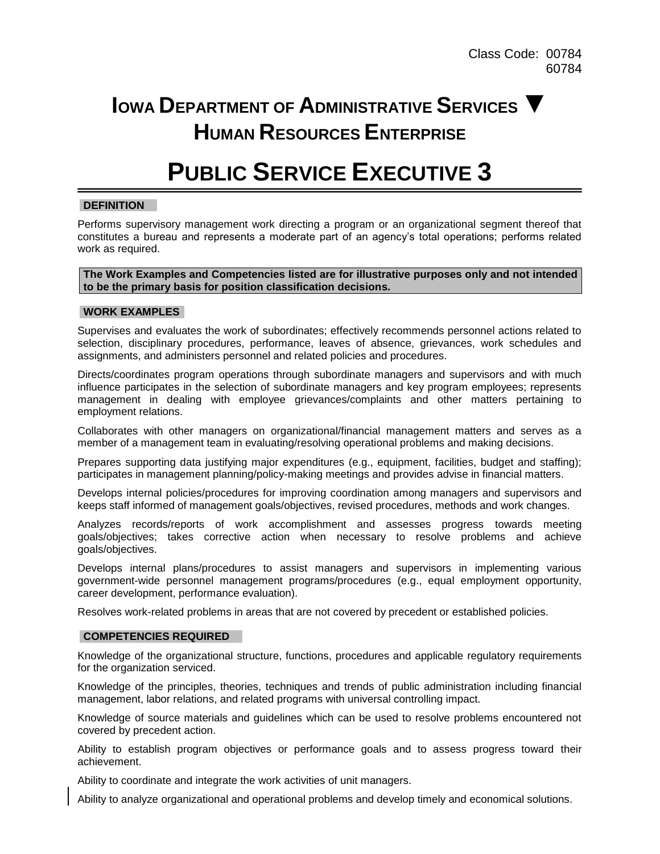## **IOWA DEPARTMENT OF ADMINISTRATIVE SERVICES ▼ HUMAN RESOURCES ENTERPRISE**

# **PUBLIC SERVICE EXECUTIVE 3**

## **DEFINITION**

Performs supervisory management work directing a program or an organizational segment thereof that constitutes a bureau and represents a moderate part of an agency's total operations; performs related work as required.

### **The Work Examples and Competencies listed are for illustrative purposes only and not intended to be the primary basis for position classification decisions.**

## **WORK EXAMPLES**

Supervises and evaluates the work of subordinates; effectively recommends personnel actions related to selection, disciplinary procedures, performance, leaves of absence, grievances, work schedules and assignments, and administers personnel and related policies and procedures.

Directs/coordinates program operations through subordinate managers and supervisors and with much influence participates in the selection of subordinate managers and key program employees; represents management in dealing with employee grievances/complaints and other matters pertaining to employment relations.

Collaborates with other managers on organizational/financial management matters and serves as a member of a management team in evaluating/resolving operational problems and making decisions.

Prepares supporting data justifying major expenditures (e.g., equipment, facilities, budget and staffing); participates in management planning/policy-making meetings and provides advise in financial matters.

Develops internal policies/procedures for improving coordination among managers and supervisors and keeps staff informed of management goals/objectives, revised procedures, methods and work changes.

Analyzes records/reports of work accomplishment and assesses progress towards meeting goals/objectives; takes corrective action when necessary to resolve problems and achieve goals/objectives.

Develops internal plans/procedures to assist managers and supervisors in implementing various government-wide personnel management programs/procedures (e.g., equal employment opportunity, career development, performance evaluation).

Resolves work-related problems in areas that are not covered by precedent or established policies.

## **COMPETENCIES REQUIRED**

Knowledge of the organizational structure, functions, procedures and applicable regulatory requirements for the organization serviced.

Knowledge of the principles, theories, techniques and trends of public administration including financial management, labor relations, and related programs with universal controlling impact.

Knowledge of source materials and guidelines which can be used to resolve problems encountered not covered by precedent action.

Ability to establish program objectives or performance goals and to assess progress toward their achievement.

Ability to coordinate and integrate the work activities of unit managers.

Ability to analyze organizational and operational problems and develop timely and economical solutions.